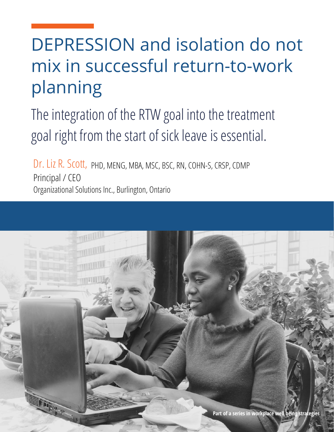# DEPRESSION and isolation do not mix in successful return-to-work planning

The integration of the RTW goal into the treatment goal right from the start of sick leave is essential.

Dr. Liz R. Scott, PHD, MENG, MBA, MSC, BSC, RN, COHN-S, CRSP, CDMP Principal / CEO Organizational Solutions Inc., Burlington, Ontario

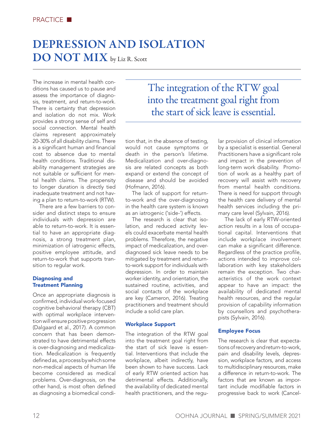# DEPRESSION AND ISOLATION DO NOT MIX by Liz R. Scott

The increase in mental health conditions has caused us to pause and assess the importance of diagnosis, treatment, and return-to-work. There is certainty that depression and isolation do not mix. Work provides a strong sense of self and social connection. Mental health claims represent approximately 20-30% of all disability claims. There is a significant human and financial cost to absence due to mental health conditions. Traditional disability management strategies are not suitable or sufficient for mental health claims. The propensity to longer duration is directly tied inadequate treatment and not having a plan to return-to-work (RTW).

There are a few barriers to consider and distinct steps to ensure individuals with depression are able to return-to-work. It is essential to have an appropriate diagnosis, a strong treatment plan, minimization of iatrogenic effects, positive employee attitude, and return-to-work that supports transition to regular work.

#### Diagnosing and Treatment Planning

Once an appropriate diagnosis is confirmed, individual work-focused cognitive behavioral therapy (CBT) with optimal workplace intervention will ensure positive progression (Dalgaard et al., 2017). A common concern that has been demonstrated to have detrimental effects is over-diagnosing and medicalization. Medicalization is frequently defined as, a process by which some non-medical aspects of human life become considered as medical problems. Over-diagnosis, on the other hand, is most often defined as diagnosing a biomedical condi-

## The integration of the RTW goal into the treatment goal right from the start of sick leave is essential.

tion that, in the absence of testing, would not cause symptoms or death in the person's lifetime. Medicalization and over-diagnosis are related concepts as both expand or extend the concept of disease and should be avoided (Hofmann, 2016).

The lack of support for returnto-work and the over-diagnosing in the health care system is known as an iatrogenic ('side-') effects.

The research is clear that isolation, and reduced activity levels could exacerbate mental health problems. Therefore, the negative impact of medicalization, and overdiagnosed sick leave needs to be mitigated by treatment and returnto-work support for individuals with depression. In order to maintain worker identity, and orientation, the sustained routine, activities, and social contacts of the workplace are key (Cameron, 2016). Treating practitioners and treatment should include a solid care plan.

#### Workplace Support

The integration of the RTW goal into the treatment goal right from the start of sick leave is essential. Interventions that include the workplace, albeit indirectly, have been shown to have success. Lack of early RTW oriented action has detrimental effects. Additionally, the availability of dedicated mental health practitioners, and the regular provision of clinical information by a specialist is essential. General Practitioners have a significant role and impact in the prevention of long-term work disability. Promotion of work as a healthy part of recovery will assist with recovery from mental health conditions. There is need for support through the health care delivery of mental health services including the primary care level (Sylvain, 2016).

The lack of early RTW-oriented action results in a loss of occupational capital. Interventions that include workplace involvement can make a significant difference. Regardless of the practice profile, actions intended to improve collaboration with key stakeholders remain the exception. Two characteristics of the work context appear to have an impact: the availability of dedicated mental health resources, and the regular provision of capability information by counsellors and psychotherapists (Sylvain, 2016).

#### Employee Focus

The research is clear that expectations of recovery and return-to-work, pain and disability levels, depression, workplace factors, and access to multidisciplinary resources, make a difference in return-to-work. The factors that are known as important include modifiable factors in progressive back to work (Cancel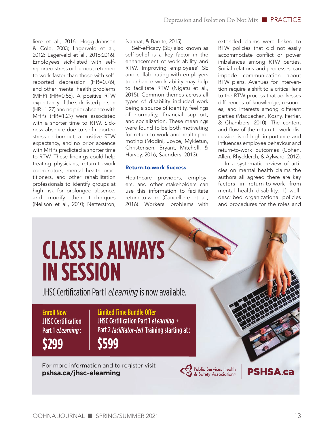liere et al., 2016; Hogg-Johnson & Cole, 2003; Lagerveld et al., 2012; Lagerveld et al., 2016;2016). Employees sick-listed with selfreported stress or burnout returned to work faster than those with selfreported depression (HR=0.76), and other mental health problems (MHP) (HR=0.56). A positive RTW expectancy of the sick-listed person (HR=1.27) and no prior absence with MHPs (HR=1.29) were associated with a shorter time to RTW. Sickness absence due to self-reported stress or burnout, a positive RTW expectancy, and no prior absence with MHPs predicted a shorter time to RTW. These findings could help treating physicians, return-to-work coordinators, mental health practitioners, and other rehabilitation professionals to identify groups at high risk for prolonged absence, and modify their techniques (Neilson et al., 2010; Netterstron,

Nannat, & Barrite, 2015).

Self-efficacy (SE) also known as self-belief is a key factor in the enhancement of work ability and RTW. Improving employees' SE and collaborating with employers to enhance work ability may help to facilitate RTW (Nigatu et al., 2015). Common themes across all types of disability included work being a source of identity, feelings of normality, financial support, and socialization. These meanings were found to be both motivating for return-to-work and health promoting (Modini, Joyce, Mykletun, Christensen, Bryant, Mitchell, & Harvey, 2016; Saunders, 2013).

#### Return-to-work Success

Healthcare providers, employers, and other stakeholders can use this information to facilitate return-to-work (Cancelliere et al., 2016). Workers' problems with extended claims were linked to RTW policies that did not easily accommodate conflict or power imbalances among RTW parties. Social relations and processes can impede communication about RTW plans. Avenues for intervention require a shift to a critical lens to the RTW process that addresses differences of knowledge, resources, and interests among different parties (MacEachen, Kosny, Ferrier, & Chambers, 2010). The content and flow of the return-to-work discussion is of high importance and influences employee behaviour and return-to-work outcomes (Cohen, Allen, Rhydderch, & Aylward, 2012).

In a systematic review of articles on mental health claims the authors all agreed there are key factors in return-to-work from mental health disability: 1) welldescribed organizational policies and procedures for the roles and

### **CLASS IS ALWAYS IN SESSION** JHSC Certification Part 1 eLearning is now available.Enroll Now **Limited Time Bundle Offer JHSC Certification** JHSC Certification Part 1 eLearning  $+$ Part 1 eLearning : Part 2 *facilitator-led* Training starting at: **\$299 \$599** For more information and to register visit Public Services Health<br>8 Safety Association **PSHSA.ca [pshsa.ca/jhsc-elearning](https://www.pshsa.ca/jhsc-elearning)**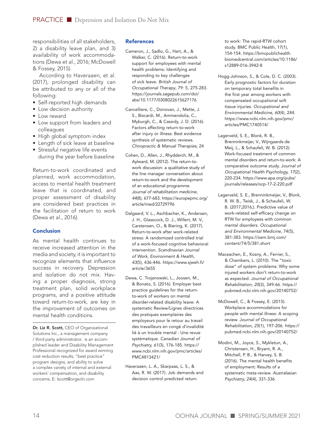responsibilities of all stakeholders, 2) a disability leave plan, and 3) availability of work accommodations (Dewa et al., 2016; McDowell & Fossey, 2015).

According to Haveraaen, et al. (2017), prolonged disability can be attributed to any or all of the following:

- Self-reported high demands
- Low decision authority
- Low reward
- Low support from leaders and colleagues
- High global symptom index
- Length of sick leave at baseline
- Stressful negative life events during the year before baseline

Return-to-work coordinated and planned, work accommodation, access to mental health treatment leave that is coordinated, and proper assessment of disability are considered best practices in the facilitation of return to work (Dewa et al., 2016).

#### Conclusion

As mental health continues to receive increased attention in the media and society, it is important to recognize elements that influence success in recovery. Depression and isolation do not mix. Having a proper diagnosis, strong treatment plan, solid workplace programs, and a positive attitude toward return-to-work, are key in the improvement of outcomes on mental health conditions.

Dr. Liz R. Scott, CEO of Organizational Solutions Inc., a management company / third party administrator, is an accomplished leader and Disability Management Professional recognized for award winning cost reduction results, "best practice" program designs, and ability to solve a complex variety of internal and external workers' compensation, and disability concerns. E: [lscott@orgsoln.com](mailto:lscott@orgsoln.com)

#### **References**

- Cameron, J., Sadlo, G., Hart, A., & Walker, C. (2016). Return-to-work support for employees with mental health problems: Identifying and responding to key challenges of sick leave. *British Journal of Occupational Therapy*, 79: 5, 275-283. [https://journals.sagepub.com/doi/](https://journals.sagepub.com/doi/abs/10.1177/0308022615627176) abs/10.1177/0308022615627176
- Cancelliere, C., Donovan, J., Mette, J. S., Biscardi, M., Ammendolia, C., Myburgh, C., & Cassidy, J. D. (2016). Factors affecting return-to-work after injury or illness: Best evidence synthesis of systematic reviews. *Chiropractic & Manual Therapies,* 24
- Cohen, D., Allen, J., Rhydderch, M., & Aylward, M. (2012). The return-towork discussion: a qualitative study of the line manager conversation about return-to-work and the development of an educational programme. *Journal of rehabilitation medicine, 44*[\(8\), 677-683. https://europepmc.org/](https://europepmc.org/article/med/22729796) article/med/22729796
- Dalgaard, V. L., Aschbacher, K., Andersen, J. H., Glasscock, D. J., Willert, M. V., Carstensen, O., & Biering, K. (2017). Return-to-work after work-related stress: A randomized controlled trial of a work-focused cognitive behavioral intervention. *Scandinavian Journal of Work, Environment & Health, 43*[\(5\), 436-446. https://www.sjweh.fi/](https://www.sjweh.fi/article/3655) article/3655
- Dewa, C. Trojanowski, L., Joosen, M., & Bonato, S. (2016). Employer best practice guidelines for the returnto-work of workers on mental disorder-related disability leave: A systematic Review/Lignes directrices des pratiques exemplaires des employeurs pour le retour au travail des travailleurs en congé d'invalidité lié à un trouble mental : Une revue systématique. *Canadian Journal of Psychiatry, 61(*3), 176-185. https:// [www.ncbi.nlm.nih.gov/pmc/articles/](https://www.ncbi.nlm.nih.gov/pmc/articles/PMC4813421/) PMC4813421/
- Haveraaen, L. A., Skarpaas, L. S., & Aas, R. W. (2017). Job demands and decision control predicted return

to work: The rapid-RTW cohort study. BMC Public Health, 17(1), 154-154. https://bmcpublichealth. [biomedcentral.com/articles/10.1186](https://bmcpublichealth.biomedcentral.com/articles/10.1186/s12889-016-3942-8)/ s12889-016-3942-8

- Hogg-Johnson, S., & Cole, D. C. (2003). Early prognostic factors for duration on temporary total benefits in the first year among workers with compensated occupational soft tissue injuries. *Occupational and Environmental Medicine, 60*(4), 244. [https://www.ncbi.nlm.nih.gov/pmc/](https://www.ncbi.nlm.nih.gov/pmc/articles/PMC1740514/) articles/PMC1740514/
- Lagerveld, S. E., Blonk, R. B., Brenninkmeijer, V., Wijngaards-de Meij, L., & Schaufeli, W. B. (2012). Work-focused treatment of common mental disorders and return-to-work: A comparative outcome study. J*ournal of Occupational Health Psychology, 17*(2), [220-234. https://www.apa.org/pubs/](https://www.apa.org/pubs/journals/releases/ocp-17-2-220.pdf) journals/releases/ocp-17-2-220.pdf
- Lagerveld, S. E., Brenninkmeijer, V., Blonk, R. W. B., Twisk, J., & Schaufeli, W. B. (2017;2016;). Predictive value of work-related self-efficacy change on RTW for employees with common mental disorders. *Occupational and Environmental Medicine*, 74(5), [381-383. https://oem.bmj.com/](https://oem.bmj.com/content/74/5/381.short) content/74/5/381.short
- Maceachen, E., Kosny, A., Ferrier, S., & Chambers, L. (2010). The "toxic dose" of system problems: Why some injured workers don't return-to-work as expected. *Journal of Occupational Rehabilitation, 20*(3), 349-66. https:// [pubmed.ncbi.nlm.nih.gov/20140752/](https://pubmed.ncbi.nlm.nih.gov/20140752/)
- McDowell, C., & Fossey, E. (2015). Workplace accommodations for people with mental illness: A scoping review. J*ournal of Occupational Rehabilitation, 25*(1), 197-206. https:// [pubmed.ncbi.nlm.nih.gov/20140752/](https://link.springer.com/article/10.1007/s10926-014-9512-y)
- Modini, M., Joyce, S., Mykletun, A., Christensen, H., Bryant, R. A., Mitchell, P. B., & Harvey, S. B. (2016). The mental health benefits of employment: Results of a systematic meta-review. *Australasian Psychiatry, 24*(4), 331-336.